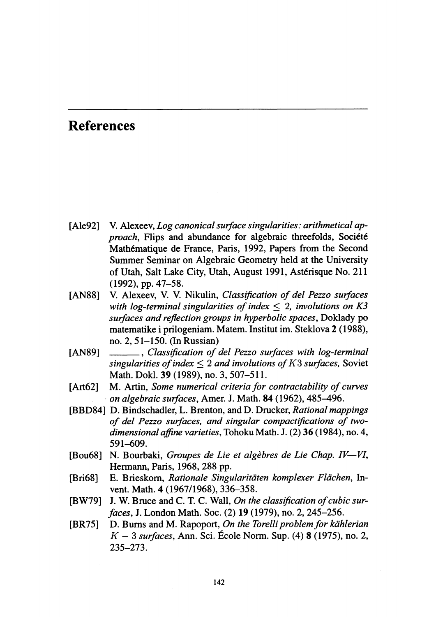# References

- [Ale92] V. Alexeev, Log canonical surface singularities: arithmetical ap $proach$ , Flips and abundance for algebraic threefolds, Société Mathématique de France, Paris, 1992, Papers from the Second Summer Seminar on Algebraic Geometry held at the University of Utah, Salt Lake City, Utah, August 1991, Ast\'erisque No. 211 (1992), pp. 47-58.
- [AN88] V. Alexeev, V. V. Nikulin, Classification of del Pezzo surfaces with log-terminal singularities of index  $\leq$  2, involutions on K3 surfaces and reflection groups in hyperbolic spaces, Doklady po matematike i prilogeniam. Matem. Institut im. Steklova 2 (1988),<br>no. 2, 51–150. (In Russian)<br>[AN89] \_\_\_\_\_\_\_, Classification of del Pezzo surfaces with log-terminal<br>sinoularities of index < 2 and involutions of K3 surfaces no. 2, 51-150. (In Russian)
- singularities of index  $\leq 2$  and involutions of K3 surfaces, Soviet Math. Dokl. 39 (1989), no. 3, 507-511.
- [Art62] M. Artin, Some numerical criteria for contractability of curves on algebraic surfaces, Amer. J. Math. 84 (1962), 485-496.
- [BBD84] D. Bindschadler, L. Brenton, and D. Dmcker, Rational mappings of del Pezzo surfaces, and singular compactifications of twodimensional affine varieties, Tohoku Math. J. (2) 36 (1984), no. 4, 591-609.
- [Bou68] N. Bourbaki, Groupes de Lie et algèbres de Lie Chap.  $IV-VI$ , Hermann, Paris, 1968, 288 pp.
- [Bri68] E. Brieskorn, Rationale Singularitäten komplexer Flächen, Invent. Math. 4 (1967/1968), 336-358.
- $[BW79]$  J. W. Bruce and C. T. C. Wall, On the classification of cubic surfaces, J. London Math. Soc. (2) 19 (1979), no. 2, 245-256.
- [BR75] D. Burns and M. Rapoport, On the Torelli problem for kählerian  $K-3$  surfaces, Ann. Sci. École Norm. Sup. (4) 8 (1975), no. 2, 235-273.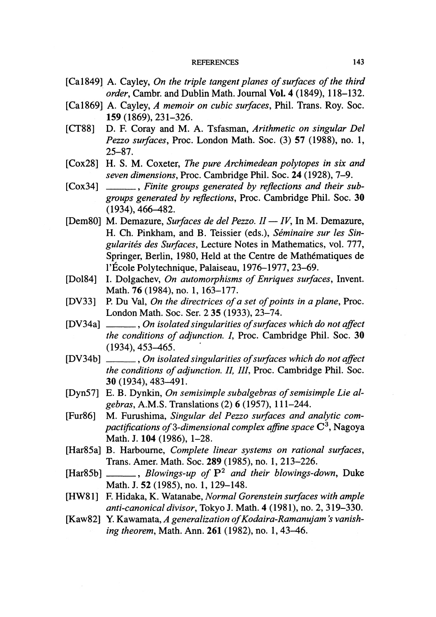- [Ca1849] A. Cayley, On the triple tangent planes of surfaces of the third order, Cambr. and Dublin Math. Journal Vol. 4 (1849), 118-132.
- [Ca1869] A. Cayley, A memoir on cubic surfaces, Phil. Trans. Roy. Soc. 159 (1869), 231-326.
- [CT88] D. F. Coray and M. A. Tsfasman, Arithmetic on singular Del Pezzo surfaces, Proc. London Math. Soc. (3) 57 (1988), no. 1, 25-87.
- [Cox28] H. S. M. Coxeter, The pure Archimedean polytopes in six and seven dimensions, Proc. Cambridge Phil. Soc. 24 (1928), 7-9.
- [Cox34] \_\_\_\_, Finite groups generated by reflections and their subgroups generated by reflections, Proc. Cambridge Phil. Soc. 30 (1934), 466-482.
- [Dem80] M. Demazure, Surfaces de del Pezzo.  $II IV$ , In M. Demazure, H. Ch. Pinkham, and B. Teissier (eds.), Séminaire sur les Singularités des Surfaces, Lecture Notes in Mathematics, vol. 777, Springer, Berlin, 1980, Held at the Centre de Mathématiques de l'École Polytechnique, Palaiseau, 1976-1977, 23-69.
- [Do184] I. Dolgachev, On automorphisms of Enriques surfaces, Invent. Math. 76 (1984), no. 1, 163-177.
- [DV33] P. Du Val, On the directrices of a set of points in a plane, Proc. London Math. Soc. Ser. 235 (1933), 23-74.
- [DV34a] \_\_\_\_\_, On isolated singularities of surfaces which do not affect the conditions of adjunction. I, Proc. Cambridge Phil. Soc. 30<br>(1934), 453–465.<br>[DV34b] \_\_\_\_\_, On isolated singularities of surfaces which do not affect<br>the conditions of adjunction II III Proc. Cambridge Phil. Soc. (1934), 453-465.
- the conditions of adjunction. II, III, Proc. Cambridge Phil. Soc. 30 (1934), 483-491.
- [Dyn57] E. B. Dynkin, On semisimple subalgebras of semisimple Lie algebras, A.M.S. Translations (2) 6 (1957), 111-244.
- [Fur86] M. Furushima, Singular del Pezzo surfaces and analytic compactifications of 3-dimensional complex affine space  $\mathbb{C}^{3}$ , Nagoya Math. J. 104 (1986), 1-28.
- [Har85a] B. Harbourne, Complete linear systems on rational surfaces, Trans. Amer. Math. Soc. 289 (1985), no. 1, 213-226.
- [Har85b]  $\ldots$ , Blowings-up of  $P^{2}$  and their blowings-down, Duke Math. J. 52 (1985), no. 1, 129-148.
- [HW81] F. Hidaka, K. Watanabe, Normal Gorenstein surfaces with ample anti-canonical divisor, Tokyo J. Math. 4 (1981), no. 2, 319-330.
- [Kaw82] Y. Kawamata, A generalization of Kodaira-Ramanujam's vanishing theorem, Math. Ann. 261 (1982), no. 1, 43-46.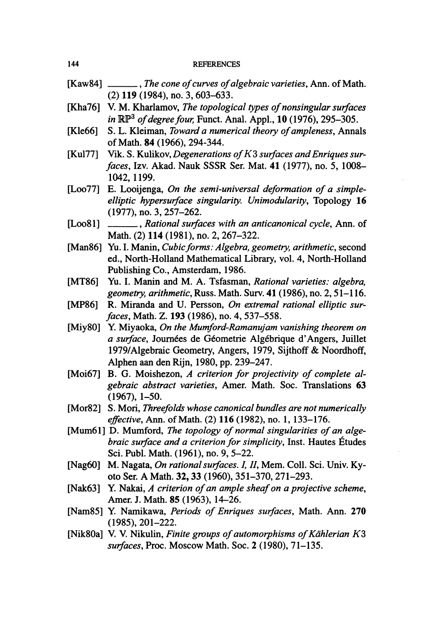- [Kaw84] \_\_\_\_\_, The cone of curves of algebraic varieties, Ann. of Math. (2) 119 (1984), no. 3, 603-633.
- $[Kha76]$  V. M. Kharlamov, The topological types of nonsingular surfaces in  $\mathbb{RP}^{3}$  of degree four, Funct. Anal. Appl., 10 (1976), 295-305.
- [Kle66] S. L. Kleiman, *Toward a numerical theory of ampleness*, Annals of Math. 84 (1966), 294-344.
- [Kul77] Vik. S. Kulikov, Degenerations of  $K3$  surfaces and Enriques surfaces, Izv. Akad. Nauk SSSR Ser. Mat. 41 (1977), no. 5, 1008- 1042, 1199.
- [Loo77] E. Looijenga, On the semi-universal deformation of a simpleelliptic hypersurface singularity. Unimodularity, Topology 16 (1977), no. 3, 257-262.
- [Loo81] \_\_\_\_\_\_, Rational surfaces with an anticanonical cycle, Ann. of Math. (2) 114 (1981), no. 2, 267–322.
- [Man86] Yu. I. Manin, *Cubic forms: Algebra, geometry, arithmetic*, second ed., North-Holland Mathematical Library, vol. 4, North-Holland Publishing Co., Amsterdam, 1986.
- [MT86] Yu. I. Manin and M. A. Tsfasman, Rational varieties: algebra, geometry, arithmetic, Russ. Math. Surv.  $41$  (1986), no. 2, 51–116.
- [MP86] R. Miranda and U. Persson, On extremal rational elliptic surfaces, Math. Z. 193 (1986), no. 4, 537-558.
- [Miy80] Y. Miyaoka, On the Mumford-Ramanujam vanishing theorem on a surface, Journées de Géometrie Algébrique d'Angers, Juillet 1979/Algebraic Geometry, Angers, 1979, Sijthoff & Noordhoff, Alphen aan den Rijn, 1980, pp. 239-247.
- [Moi67] B. G. Moishezon, A criterion for projectivity of complete algebraic abstract varieties, Amer. Math. Soc. Translations 63 (1967), 1-50.
- [Mor82] S. Mori, Threefolds whose canonical bundles are not numerically effective, Ann. of Math. (2) 116 (1982), no. 1, 133-176.
- [Mum61] D. Mumford, The topology of normal singularities of an algebraic surface and a criterion for simplicity, Inst. Hautes Études Sci. Publ. Math. (1961), no. 9, 5-22.
- [Nag60] M. Nagata, On rational surfaces. I, II, Mem. Coll. Sci. Univ. Kyoto Ser. A Math. 32, 33 (1960), 351-370, 271-293.
- [Nak63] Y. Nakai,  $A$  criterion of an ample sheaf on a projective scheme, Amer. J. Math. 85 (1963), 14-26.
- [Nam85] Y. Namikawa, *Periods of Enriques surfaces*, Math. Ann. 270 (1985), 201-222.
- [Nik80a] V. V. Nikulin, Finite groups of automorphisms of Kählerian  $K3$ surfaces, Proc. Moscow Math. Soc. 2 (1980), 71-135.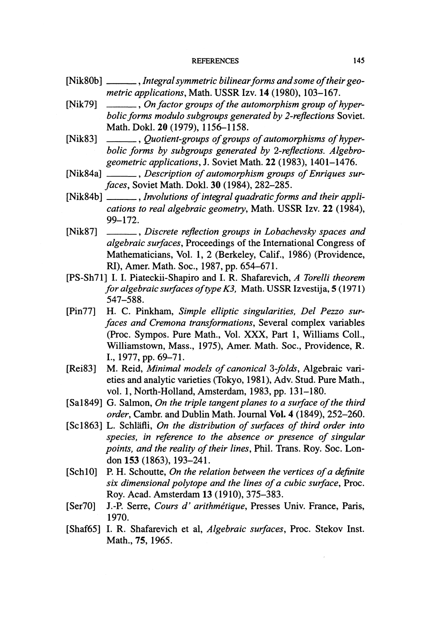- [Nik80b] \_\_\_\_\_, Integral symmetric bilinear forms and some of their geometric applications, Math. USSR Izv. 14 (1980), 103-167.
- [Nik79]  $\_\_\_\_\_$ , On factor groups of the automorphism group of hyperbolic forms modulo subgroups generated by 2-reflections Soviet.<br>
Math. Dokl. 20 (1979), 1156–1158.<br>
[Nik83] –, Quotient-groups of groups of automorphisms of hyper-<br>
holic forms by subgroups generated by 2-reflections Algeb Math. Dokl. 20 (1979), 1156-1158.
- bolic forms by subgroups generated by 2-reflections. Algebrogeometric applications, J. Soviet Math. 22 (1983), 1401-1476. bolic forms by subgroups generated by 2-reflections. Algebro-<br>geometric applications, J. Soviet Math. 22 (1983), 1401–1476.<br>[Nik84a] — , Description of automorphism groups of Enriques sur-<br>faces Soviet Math Dokl 30 (1984)
- faces, Soviet Math. Dokl. 30 (1984), 282-285. [Nik84a]  $\frac{1}{\sqrt{1-\frac{1}{n}}}\n$ , *Description of automorphism groups of Enriques sur-*<br>faces, Soviet Math. Dokl. 30 (1984), 282–285.<br>[Nik84b]  $\frac{1}{\sqrt{1-\frac{1}{n}}}\n$ , *Involutions of integral quadratic forms and their appli-*<br>
- cations to real algebraic geometry, Math. USSR Izv. 22 (1984),<br>99–172.<br>[Nik87] Discrete reflection groups in Lobachevsky spaces and<br>algebraic surfaces Proceedings of the International Congress of 99-172.
- algebraic surfaces, Proceedings of the International Congress of Mathematicians, Vol. 1, 2 (Berkeley, Calif., 1986) (Providence, RI), Amer. Math. Soc., 1987, pp. 654-671.
- [PS-Sh71] I. I. Piateckii-Shapiro and I. R. Shafarevich, A Torelli theorem for algebraic surfaces of type  $K3$ , Math. USSR Izvestija, 5 (1971) 547-588.
- [Pin77] H. C. Pinkham, Simple elliptic singularities, Del Pezzo surfaces and Cremona transformations, Several complex variables (Proc. Sympos. Pure Math., Vol. XXX, Part 1, Williams Coll., Williamstown, Mass., 1975), Amer. Math. Soc., Providence, R. I., 1977, pp. 69-71.
- [Rei83] M. Reid, *Minimal models of canonical 3-folds*, Algebraic varieties and analytic varieties (Tokyo, 1981), Adv. Stud. Pure Math., vol. 1, North-Holland, Amsterdam, 1983, pp. 131-180.
- [Sa1849] G. Salmon, On the triple tangent planes to a surface of the third order, Cambr. and Dublin Math. Journal Vol. 4 (1849), 252-260.
- [Sc1863] L. Schläfli, On the distribution of surfaces of third order into species, in reference to the absence or presence of singular points, and the reality of their lines, Phil. Trans. Roy. Soc. London 153 (1863), 193-241.
- $[Sch10]$  P. H. Schoutte, On the relation between the vertices of a definite six dimensional polytope and the lines of a cubic surface, Proc. Roy. Acad. Amsterdam 13 (1910), 375-383.
- [Ser70] J.-P. Serre, Cours d' arithmétique, Presses Univ. France, Paris, 1970.
- [Shaf65] I. R. Shafarevich et al, Algebraic surfaces, Proc. Stekov Inst. Math., 75, 1965.